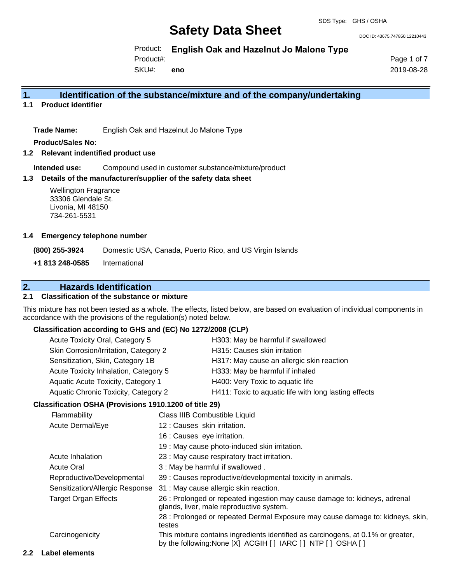DOC ID: 43675.747850.12210443

Product: **English Oak and Hazelnut Jo Malone Type**

SKU#: Product#: **eno**

Page 1 of 7 2019-08-28

### **1. Identification of the substance/mixture and of the company/undertaking**

**1.1 Product identifier**

**Trade Name:** English Oak and Hazelnut Jo Malone Type

**Product/Sales No:**

- **1.2 Relevant indentified product use**
	- **Intended use:** Compound used in customer substance/mixture/product

### **1.3 Details of the manufacturer/supplier of the safety data sheet**

### **1.4 Emergency telephone number**

### **2. Hazards Identification**

### **2.1 Classification of the substance or mixture**

### **Classification according to GHS and (EC) No 1272/2008 (CLP)**

| Acute Toxicity Oral, Category 5             | H303: May be harmful if swallowed                     |
|---------------------------------------------|-------------------------------------------------------|
| Skin Corrosion/Irritation, Category 2       | H315: Causes skin irritation                          |
| Sensitization, Skin, Category 1B            | H317: May cause an allergic skin reaction             |
| Acute Toxicity Inhalation, Category 5       | H333: May be harmful if inhaled                       |
| Aquatic Acute Toxicity, Category 1          | H400: Very Toxic to aquatic life                      |
| <b>Aquatic Chronic Toxicity, Category 2</b> | H411: Toxic to aquatic life with long lasting effects |

### **Classification OSHA (Provisions 1910.1200 of title 29)**

| <b>Wellington Fragrance</b><br>33306 Glendale St.<br>Livonia, MI 48150<br>734-261-5531          |               |                                                                                                                                                    |                                                                                                                             |
|-------------------------------------------------------------------------------------------------|---------------|----------------------------------------------------------------------------------------------------------------------------------------------------|-----------------------------------------------------------------------------------------------------------------------------|
| 1.4 Emergency telephone number                                                                  |               |                                                                                                                                                    |                                                                                                                             |
| (800) 255-3924                                                                                  |               | Domestic USA, Canada, Puerto Rico, and US Virgin Islands                                                                                           |                                                                                                                             |
| +1 813 248-0585                                                                                 | International |                                                                                                                                                    |                                                                                                                             |
| 2.<br><b>Hazards Identification</b><br>2.1<br><b>Classification of the substance or mixture</b> |               |                                                                                                                                                    |                                                                                                                             |
| accordance with the provisions of the regulation(s) noted below.                                |               |                                                                                                                                                    | This mixture has not been tested as a whole. The effects, listed below, are based on evaluation of individual components in |
|                                                                                                 |               | Classification according to GHS and (EC) No 1272/2008 (CLP)                                                                                        |                                                                                                                             |
| Acute Toxicity Oral, Category 5                                                                 |               | H303: May be harmful if swallowed                                                                                                                  |                                                                                                                             |
| Skin Corrosion/Irritation, Category 2                                                           |               | H315: Causes skin irritation                                                                                                                       |                                                                                                                             |
| Sensitization, Skin, Category 1B                                                                |               | H317: May cause an allergic skin reaction                                                                                                          |                                                                                                                             |
| Acute Toxicity Inhalation, Category 5                                                           |               | H333: May be harmful if inhaled                                                                                                                    |                                                                                                                             |
| Aquatic Acute Toxicity, Category 1                                                              |               | H400: Very Toxic to aquatic life                                                                                                                   |                                                                                                                             |
| Aquatic Chronic Toxicity, Category 2                                                            |               | H411: Toxic to aquatic life with long lasting effects                                                                                              |                                                                                                                             |
| Classification OSHA (Provisions 1910.1200 of title 29)                                          |               |                                                                                                                                                    |                                                                                                                             |
| Flammability                                                                                    |               | Class IIIB Combustible Liquid                                                                                                                      |                                                                                                                             |
| Acute Dermal/Eye                                                                                |               | 12 : Causes skin irritation.                                                                                                                       |                                                                                                                             |
|                                                                                                 |               | 16 : Causes eye irritation.                                                                                                                        |                                                                                                                             |
|                                                                                                 |               | 19 : May cause photo-induced skin irritation.                                                                                                      |                                                                                                                             |
| Acute Inhalation                                                                                |               | 23 : May cause respiratory tract irritation.                                                                                                       |                                                                                                                             |
| <b>Acute Oral</b>                                                                               |               | 3 : May be harmful if swallowed.                                                                                                                   |                                                                                                                             |
| Reproductive/Developmental                                                                      |               | 39 : Causes reproductive/developmental toxicity in animals.                                                                                        |                                                                                                                             |
| Sensitization/Allergic Response                                                                 |               | 31 : May cause allergic skin reaction.                                                                                                             |                                                                                                                             |
| <b>Target Organ Effects</b>                                                                     |               | 26 : Prolonged or repeated ingestion may cause damage to: kidneys, adrenal<br>glands, liver, male reproductive system.                             |                                                                                                                             |
|                                                                                                 |               | testes                                                                                                                                             | 28 : Prolonged or repeated Dermal Exposure may cause damage to: kidneys, skin,                                              |
| Carcinogenicity                                                                                 |               | This mixture contains ingredients identified as carcinogens, at 0.1% or greater,<br>by the following: None [X] ACGIH [ ] IARC [ ] NTP [ ] OSHA [ ] |                                                                                                                             |
| 2.2<br><b>Label elements</b>                                                                    |               |                                                                                                                                                    |                                                                                                                             |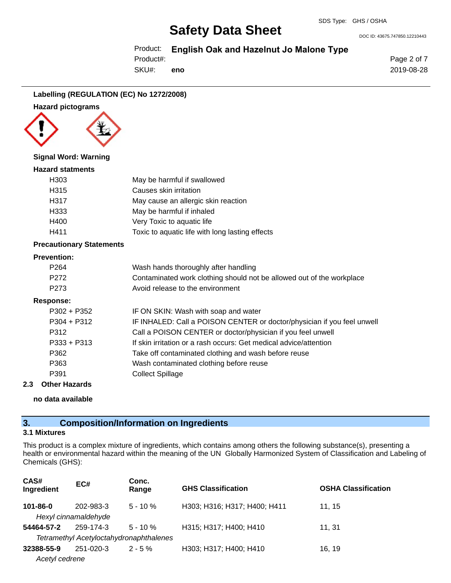DOC ID: 43675.747850.12210443

Product: **English Oak and Hazelnut Jo Malone Type**

Product#:

SKU#: **eno** Page 2 of 7 2019-08-28

### **Labelling (REGULATION (EC) No 1272/2008)**

#### **Hazard pictograms**

### **Signal Word: Warning**

#### **Hazard statments**

| H303 | May be harmful if swallowed                     |
|------|-------------------------------------------------|
| H315 | Causes skin irritation                          |
| H317 | May cause an allergic skin reaction             |
| H333 | May be harmful if inhaled                       |
| H400 | Very Toxic to aquatic life                      |
| H411 | Toxic to aquatic life with long lasting effects |

#### **Precautionary Statements**

#### **Prevention:**

| P264 | Wash hands thoroughly after handling                                  |
|------|-----------------------------------------------------------------------|
| P272 | Contaminated work clothing should not be allowed out of the workplace |
| P273 | Avoid release to the environment                                      |

#### **Response:**

| $P302 + P352$ | IF ON SKIN: Wash with soap and water                                    |
|---------------|-------------------------------------------------------------------------|
| $P304 + P312$ | IF INHALED: Call a POISON CENTER or doctor/physician if you feel unwell |
| P312          | Call a POISON CENTER or doctor/physician if you feel unwell             |
| $P333 + P313$ | If skin irritation or a rash occurs: Get medical advice/attention       |
| P362          | Take off contaminated clothing and wash before reuse                    |
| P363          | Wash contaminated clothing before reuse                                 |
| P391          | <b>Collect Spillage</b>                                                 |
|               |                                                                         |

### **2.3 Other Hazards**

**no data available**

### **3. Composition/Information on Ingredients**

### **3.1 Mixtures**

This product is a complex mixture of ingredients, which contains among others the following substance(s), presenting a health or environmental hazard within the meaning of the UN Globally Harmonized System of Classification and Labeling of Chemicals (GHS):

| CAS#<br>Ingredient | EC#                                     | Conc.<br>Range | <b>GHS Classification</b>    | <b>OSHA Classification</b> |
|--------------------|-----------------------------------------|----------------|------------------------------|----------------------------|
| 101-86-0           | 202-983-3                               | $5 - 10 \%$    | H303; H316; H317; H400; H411 | 11.15                      |
|                    | Hexyl cinnamaldehyde                    |                |                              |                            |
| 54464-57-2         | 259-174-3                               | $5 - 10 \%$    | H315; H317; H400; H410       | 11.31                      |
|                    | Tetramethyl Acetyloctahydronaphthalenes |                |                              |                            |
| 32388-55-9         | 251-020-3                               | $2 - 5 \%$     | H303; H317; H400; H410       | 16, 19                     |
| Acetyl cedrene     |                                         |                |                              |                            |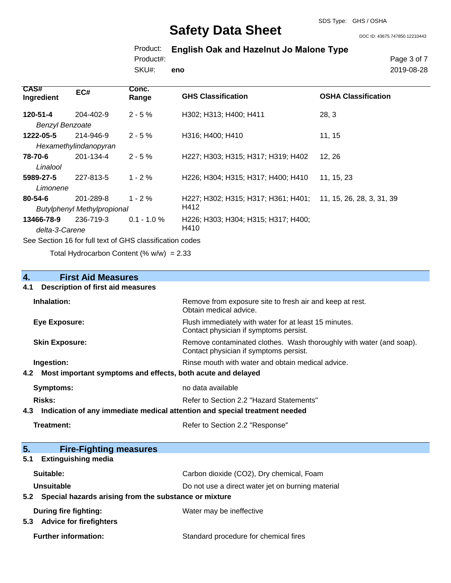DOC ID: 43675.747850.12210443

### Product: **English Oak and Hazelnut Jo Malone Type**

SKU#: Product#: **eno** Page 3 of 7 2019-08-28

| <b>CAS#</b><br>Ingredient                                | EC#                   | Conc.<br>Range | <b>GHS Classification</b>                                     | <b>OSHA Classification</b> |
|----------------------------------------------------------|-----------------------|----------------|---------------------------------------------------------------|----------------------------|
| 120-51-4                                                 | $204 - 402 - 9$       | $2 - 5%$       | H302; H313; H400; H411                                        | 28, 3                      |
| <b>Benzyl Benzoate</b>                                   |                       |                |                                                               |                            |
| 1222-05-5                                                | 214-946-9             | $2 - 5 \%$     | H316; H400; H410                                              | 11, 15                     |
|                                                          | Hexamethylindanopyran |                |                                                               |                            |
| 78-70-6                                                  | 201-134-4             | $2 - 5 \%$     | H227; H303; H315; H317; H319; H402                            | 12, 26                     |
| Linalool                                                 |                       |                |                                                               |                            |
| 5989-27-5                                                | 227-813-5             | $1 - 2 \%$     | H226; H304; H315; H317; H400; H410                            | 11, 15, 23                 |
| Limonene                                                 |                       |                |                                                               |                            |
| $80 - 54 - 6$                                            | 201-289-8             | $1 - 2 \%$     | H227; H302; H315; H317; H361; H401; 11, 15, 26, 28, 3, 31, 39 |                            |
| <b>Butylphenyl Methylpropional</b>                       |                       |                | H412                                                          |                            |
| 13466-78-9                                               | 236-719-3             | $0.1 - 1.0 \%$ | H226; H303; H304; H315; H317; H400;                           |                            |
| delta-3-Carene                                           |                       |                | H410                                                          |                            |
| See Section 16 for full text of GHS classification codes |                       |                |                                                               |                            |

Total Hydrocarbon Content (% w/w) = 2.33

### **4. First Aid Measures**

| Description of first aid measures<br>4.1                        |                                                                                                               |
|-----------------------------------------------------------------|---------------------------------------------------------------------------------------------------------------|
| Inhalation:                                                     | Remove from exposure site to fresh air and keep at rest.<br>Obtain medical advice.                            |
| <b>Eye Exposure:</b>                                            | Flush immediately with water for at least 15 minutes.<br>Contact physician if symptoms persist.               |
| <b>Skin Exposure:</b>                                           | Remove contaminated clothes. Wash thoroughly with water (and soap).<br>Contact physician if symptoms persist. |
| Rinse mouth with water and obtain medical advice.<br>Ingestion: |                                                                                                               |
| 4.2                                                             | Most important symptoms and effects, both acute and delayed                                                   |
| <b>Symptoms:</b>                                                | no data available                                                                                             |
| <b>Risks:</b>                                                   | Refer to Section 2.2 "Hazard Statements"                                                                      |
| 4.3                                                             | Indication of any immediate medical attention and special treatment needed                                    |
| <b>Treatment:</b>                                               | Refer to Section 2.2 "Response"                                                                               |
| 5.<br><b>Fire-Fighting measures</b>                             |                                                                                                               |
| <b>Extinguishing media</b><br>5.1                               |                                                                                                               |
| Suitable:                                                       | Carbon dioxide (CO2), Dry chemical, Foam                                                                      |
| <b>Unsuitable</b>                                               | Do not use a direct water jet on burning material                                                             |

### **5.2 Special hazards arising from the substance or mixture**

| During fire fighting:       | Water may be ineffective              |  |
|-----------------------------|---------------------------------------|--|
| 5.3 Advice for firefighters |                                       |  |
| <b>Further information:</b> | Standard procedure for chemical fires |  |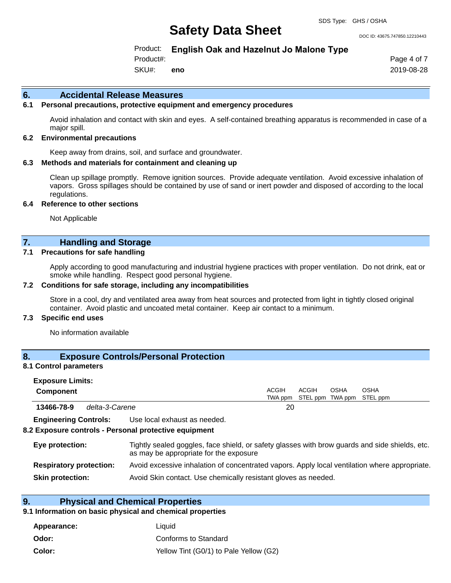DOC ID: 43675.747850.12210443

Product: **English Oak and Hazelnut Jo Malone Type**

Product#:

SKU#: **eno** Page 4 of 7 2019-08-28

### **6. Accidental Release Measures**

### **6.1 Personal precautions, protective equipment and emergency procedures**

Avoid inhalation and contact with skin and eyes. A self-contained breathing apparatus is recommended in case of a major spill.

### **6.2 Environmental precautions**

Keep away from drains, soil, and surface and groundwater.

#### **6.3 Methods and materials for containment and cleaning up**

Clean up spillage promptly. Remove ignition sources. Provide adequate ventilation. Avoid excessive inhalation of vapors. Gross spillages should be contained by use of sand or inert powder and disposed of according to the local regulations.

#### **6.4 Reference to other sections**

Not Applicable

### **7. Handling and Storage**

### **7.1 Precautions for safe handling**

Apply according to good manufacturing and industrial hygiene practices with proper ventilation. Do not drink, eat or smoke while handling. Respect good personal hygiene.

#### **7.2 Conditions for safe storage, including any incompatibilities**

Store in a cool, dry and ventilated area away from heat sources and protected from light in tightly closed original container. Avoid plastic and uncoated metal container. Keep air contact to a minimum.

### **7.3 Specific end uses**

No information available

### **8. Exposure Controls/Personal Protection**

#### **8.1 Control parameters**

| <b>Exposure Limits:</b>                                      |                                                                                          |
|--------------------------------------------------------------|------------------------------------------------------------------------------------------|
| <b>Component</b>                                             | <b>ACGIH</b><br>ACGIH<br><b>OSHA</b><br><b>OSHA</b><br>TWA ppm STEL ppm TWA ppm STEL ppm |
| 13466-78-9<br>delta-3-Carene                                 | 20                                                                                       |
| <b>Engineering Controls:</b><br>Use local exhaust as needed. |                                                                                          |

#### **8.2 Exposure controls - Personal protective equipment**

| Eye protection:                | Tightly sealed goggles, face shield, or safety glasses with brow guards and side shields, etc.<br>as may be appropriate for the exposure |
|--------------------------------|------------------------------------------------------------------------------------------------------------------------------------------|
| <b>Respiratory protection:</b> | Avoid excessive inhalation of concentrated vapors. Apply local ventilation where appropriate.                                            |
| <b>Skin protection:</b>        | Avoid Skin contact. Use chemically resistant gloves as needed.                                                                           |

### **9. Physical and Chemical Properties**

### **9.1 Information on basic physical and chemical properties**

| <b>Appearance:</b> | Liauid                                 |
|--------------------|----------------------------------------|
| Odor:              | Conforms to Standard                   |
| Color:             | Yellow Tint (G0/1) to Pale Yellow (G2) |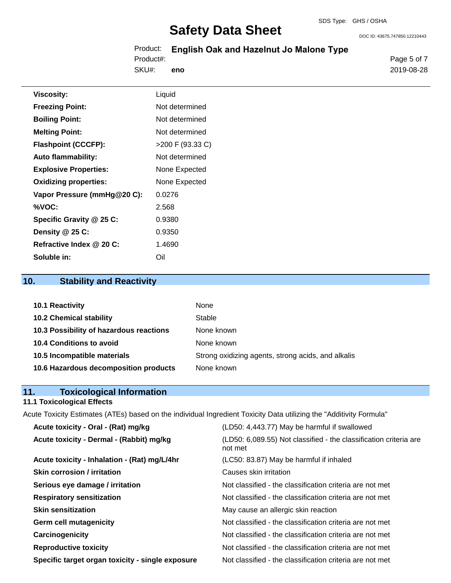DOC ID: 43675.747850.12210443

Page 5 of 7 2019-08-28

### Product: **English Oak and Hazelnut Jo Malone Type** Product#:

SKU#: **eno**

**Viscosity:** Liquid **Freezing Point:** Not determined **Boiling Point:** Not determined **Melting Point:** Not determined **Flashpoint (CCCFP):**  $>200$  F (93.33 C) Auto flammability: Not determined **Explosive Properties:** None Expected **Oxidizing properties:** None Expected **Vapor Pressure (mmHg@20 C):** 0.0276 **%VOC:** 2.568 **Specific Gravity @ 25 C:** 0.9380 **Density @ 25 C:** 0.9350 **Refractive Index @ 20 C:** 1.4690 **Soluble in:** Oil

### **10. Stability and Reactivity**

| 10.1 Reactivity                         | None                                               |
|-----------------------------------------|----------------------------------------------------|
| 10.2 Chemical stability                 | Stable                                             |
| 10.3 Possibility of hazardous reactions | None known                                         |
| <b>10.4 Conditions to avoid</b>         | None known                                         |
| 10.5 Incompatible materials             | Strong oxidizing agents, strong acids, and alkalis |
| 10.6 Hazardous decomposition products   | None known                                         |

## **11. Toxicological Information**

### **11.1 Toxicological Effects**

Acute Toxicity Estimates (ATEs) based on the individual Ingredient Toxicity Data utilizing the "Additivity Formula"

| Acute toxicity - Oral - (Rat) mg/kg              | (LD50: 4,443.77) May be harmful if swallowed                                 |
|--------------------------------------------------|------------------------------------------------------------------------------|
| Acute toxicity - Dermal - (Rabbit) mg/kg         | (LD50: 6,089.55) Not classified - the classification criteria are<br>not met |
| Acute toxicity - Inhalation - (Rat) mg/L/4hr     | (LC50: 83.87) May be harmful if inhaled                                      |
| <b>Skin corrosion / irritation</b>               | Causes skin irritation                                                       |
| Serious eye damage / irritation                  | Not classified - the classification criteria are not met                     |
| <b>Respiratory sensitization</b>                 | Not classified - the classification criteria are not met                     |
| <b>Skin sensitization</b>                        | May cause an allergic skin reaction                                          |
| <b>Germ cell mutagenicity</b>                    | Not classified - the classification criteria are not met                     |
| Carcinogenicity                                  | Not classified - the classification criteria are not met                     |
| <b>Reproductive toxicity</b>                     | Not classified - the classification criteria are not met                     |
| Specific target organ toxicity - single exposure | Not classified - the classification criteria are not met                     |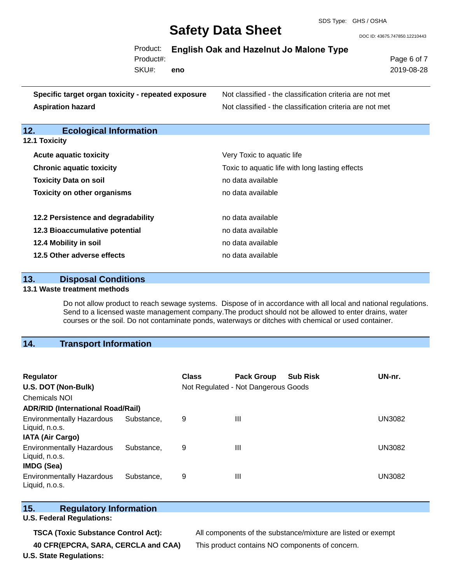#### SDS Type: GHS / OSHA

## **Safety Data Sheet**

DOC ID: 43675.747850.12210443

|  | Product: English Oak and Hazelnut Jo Malone Type |  |
|--|--------------------------------------------------|--|
|--|--------------------------------------------------|--|

Product#:

SKU#: **eno**

Page 6 of 7 2019-08-28

| Specific target organ toxicity - repeated exposure | Not classified - the classification criteria are not met |
|----------------------------------------------------|----------------------------------------------------------|
| <b>Aspiration hazard</b>                           | Not classified - the classification criteria are not met |

#### **12. Ecological Information 12.1 Toxicity**

|  | <b>TZ.T TOXICITY</b> |                              |  |
|--|----------------------|------------------------------|--|
|  |                      | <b>Acute aquatic toxicit</b> |  |

| <b>Acute aquatic toxicity</b>      | Very Toxic to aquatic life                      |
|------------------------------------|-------------------------------------------------|
| <b>Chronic aquatic toxicity</b>    | Toxic to aquatic life with long lasting effects |
| <b>Toxicity Data on soil</b>       | no data available                               |
| <b>Toxicity on other organisms</b> | no data available                               |
|                                    |                                                 |
| 12.2 Persistence and degradability | no data available                               |
| 12.3 Bioaccumulative potential     | no data available                               |
| 12.4 Mobility in soil              | no data available                               |
| 12.5 Other adverse effects         | no data available                               |

| 13. | <b>Disposal Conditions</b> |
|-----|----------------------------|
|     |                            |

### **13.1 Waste treatment methods**

Do not allow product to reach sewage systems. Dispose of in accordance with all local and national regulations. Send to a licensed waste management company.The product should not be allowed to enter drains, water courses or the soil. Do not contaminate ponds, waterways or ditches with chemical or used container.

### **14. Transport Information**

| <b>Regulator</b>                                   |            | <b>Class</b> | <b>Pack Group</b>                   | <b>Sub Risk</b> | UN-nr.        |
|----------------------------------------------------|------------|--------------|-------------------------------------|-----------------|---------------|
| U.S. DOT (Non-Bulk)                                |            |              | Not Regulated - Not Dangerous Goods |                 |               |
| <b>Chemicals NOI</b>                               |            |              |                                     |                 |               |
| <b>ADR/RID (International Road/Rail)</b>           |            |              |                                     |                 |               |
| <b>Environmentally Hazardous</b><br>Liquid, n.o.s. | Substance, | 9            | Ш                                   |                 | <b>UN3082</b> |
| <b>IATA (Air Cargo)</b>                            |            |              |                                     |                 |               |
| <b>Environmentally Hazardous</b><br>Liquid, n.o.s. | Substance. | 9            | Ш                                   |                 | UN3082        |
| <b>IMDG (Sea)</b>                                  |            |              |                                     |                 |               |
| <b>Environmentally Hazardous</b><br>Liquid, n.o.s. | Substance. | 9            | Ш                                   |                 | UN3082        |

### **15. Regulatory Information**

**U.S. Federal Regulations:**

**TSCA (Toxic Substance Control Act):** All components of the substance/mixture are listed or exempt **40 CFR(EPCRA, SARA, CERCLA and CAA)** This product contains NO components of concern.